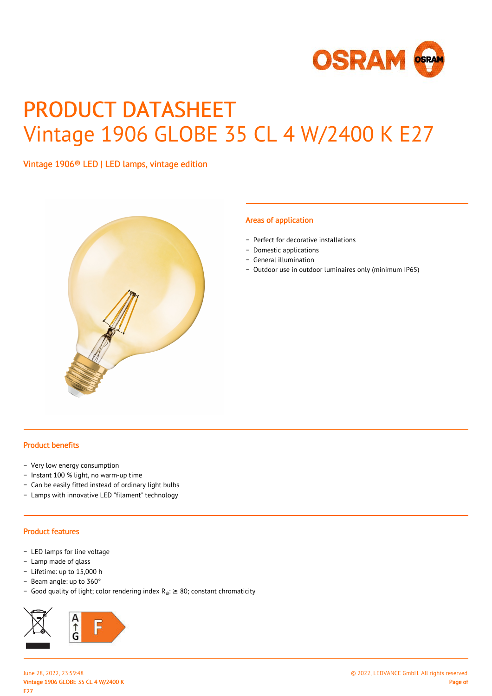

# PRODUCT DATASHEET Vintage 1906 GLOBE 35 CL 4 W/2400 K E27

Vintage 1906® LED | LED lamps, vintage edition



#### Areas of application

- − Perfect for decorative installations
- − Domestic applications
- − General illumination
- − Outdoor use in outdoor luminaires only (minimum IP65)

#### Product benefits

- − Very low energy consumption
- − Instant 100 % light, no warm-up time
- − Can be easily fitted instead of ordinary light bulbs
- − Lamps with innovative LED "filament" technology

#### Product features

- − LED lamps for line voltage
- − Lamp made of glass
- − Lifetime: up to 15,000 h
- − Beam angle: up to 360°
- Good quality of light; color rendering index R<sub>a</sub>: ≥ 80; constant chromaticity

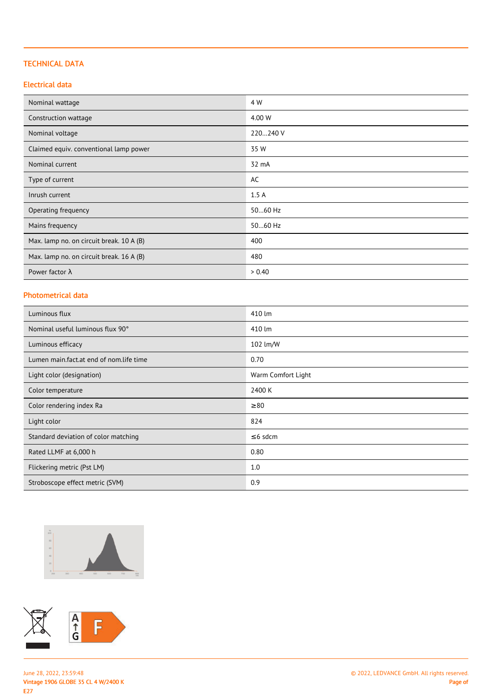### TECHNICAL DATA

#### Electrical data

| Nominal wattage                          | 4 W      |
|------------------------------------------|----------|
| Construction wattage                     | 4.00 W   |
| Nominal voltage                          | 220240 V |
| Claimed equiv. conventional lamp power   | 35 W     |
| Nominal current                          | 32 mA    |
| Type of current                          | AC       |
| Inrush current                           | 1.5A     |
| Operating frequency                      | 5060 Hz  |
| Mains frequency                          | 5060 Hz  |
| Max. lamp no. on circuit break. 10 A (B) | 400      |
| Max. lamp no. on circuit break. 16 A (B) | 480      |
| Power factor $\lambda$                   | > 0.40   |

# Photometrical data

| Luminous flux                           | 410 lm             |
|-----------------------------------------|--------------------|
| Nominal useful luminous flux 90°        | 410 lm             |
| Luminous efficacy                       | 102 lm/W           |
| Lumen main.fact.at end of nom.life time | 0.70               |
| Light color (designation)               | Warm Comfort Light |
| Color temperature                       | 2400 K             |
| Color rendering index Ra                | $\geq 80$          |
| Light color                             | 824                |
| Standard deviation of color matching    | $\leq$ 6 sdcm      |
| Rated LLMF at 6,000 h                   | 0.80               |
| Flickering metric (Pst LM)              | 1.0                |
| Stroboscope effect metric (SVM)         | 0.9                |



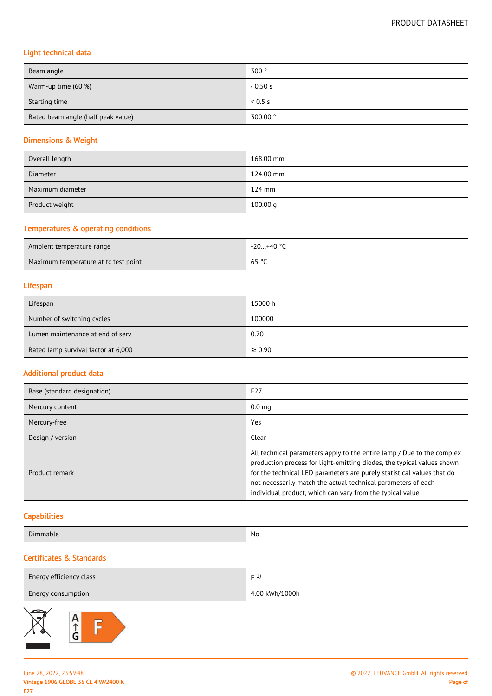# Light technical data

| Beam angle                         | 300°     |
|------------------------------------|----------|
| Warm-up time (60 %)                | 0.50s    |
| Starting time                      | 0.5 s    |
| Rated beam angle (half peak value) | 300.00 ° |

#### Dimensions & Weight

| Overall length   | 168.00 mm |
|------------------|-----------|
| <b>Diameter</b>  | 124.00 mm |
| Maximum diameter | $124$ mm  |
| Product weight   | 100.00 g  |

#### Temperatures & operating conditions

| Ambient temperature range            | -20+40 ° <sup>∩</sup> |
|--------------------------------------|-----------------------|
| Maximum temperature at tc test point | 65 °C                 |

#### Lifespan

| Lifespan                            | 15000 h     |
|-------------------------------------|-------------|
| Number of switching cycles          | 100000      |
| Lumen maintenance at end of serv    | 0.70        |
| Rated lamp survival factor at 6,000 | $\geq 0.90$ |

#### Additional product data

| Base (standard designation) | E27                                                                                                                                                                                                                                                                                                                                                      |
|-----------------------------|----------------------------------------------------------------------------------------------------------------------------------------------------------------------------------------------------------------------------------------------------------------------------------------------------------------------------------------------------------|
| Mercury content             | 0.0 <sub>mg</sub>                                                                                                                                                                                                                                                                                                                                        |
| Mercury-free                | Yes                                                                                                                                                                                                                                                                                                                                                      |
| Design / version            | Clear                                                                                                                                                                                                                                                                                                                                                    |
| Product remark              | All technical parameters apply to the entire lamp / Due to the complex<br>production process for light-emitting diodes, the typical values shown<br>for the technical LED parameters are purely statistical values that do<br>not necessarily match the actual technical parameters of each<br>individual product, which can vary from the typical value |

#### **Capabilities**

| $\sim$<br>$\mathbf{u}$ | No |
|------------------------|----|
|                        |    |

# Certificates & Standards

| Energy efficiency class | $\overline{a}$ |
|-------------------------|----------------|
| Energy consumption      | 4.00 kWh/1000h |

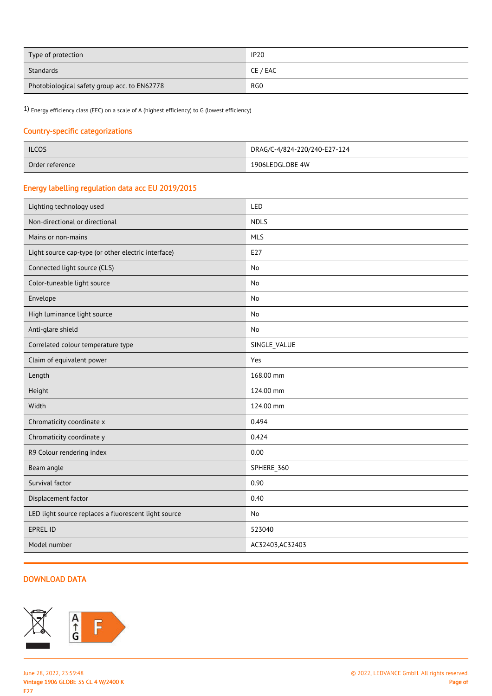| Type of protection                           | <b>IP20</b> |
|----------------------------------------------|-------------|
| Standards                                    | CE / EAC    |
| Photobiological safety group acc. to EN62778 | RG0         |

1) Energy efficiency class (EEC) on a scale of A (highest efficiency) to G (lowest efficiency)

#### Country-specific categorizations

| <b>ILCOS</b>    | DRAG/C-4/824-220/240-E27-124 |
|-----------------|------------------------------|
| Order reference | 1906LEDGLOBE 4W              |

# Energy labelling regulation data acc EU 2019/2015

| Lighting technology used                             | LED              |
|------------------------------------------------------|------------------|
| Non-directional or directional                       | <b>NDLS</b>      |
| Mains or non-mains                                   | <b>MLS</b>       |
| Light source cap-type (or other electric interface)  | E27              |
| Connected light source (CLS)                         | <b>No</b>        |
| Color-tuneable light source                          | No               |
| Envelope                                             | <b>No</b>        |
| High luminance light source                          | No               |
| Anti-glare shield                                    | <b>No</b>        |
| Correlated colour temperature type                   | SINGLE_VALUE     |
| Claim of equivalent power                            | Yes              |
| Length                                               | 168.00 mm        |
| Height                                               | 124.00 mm        |
| Width                                                | 124.00 mm        |
| Chromaticity coordinate x                            | 0.494            |
| Chromaticity coordinate y                            | 0.424            |
| R9 Colour rendering index                            | 0.00             |
| Beam angle                                           | SPHERE_360       |
| Survival factor                                      | 0.90             |
| Displacement factor                                  | 0.40             |
| LED light source replaces a fluorescent light source | <b>No</b>        |
| EPREL ID                                             | 523040           |
| Model number                                         | AC32403, AC32403 |
|                                                      |                  |

# DOWNLOAD DATA